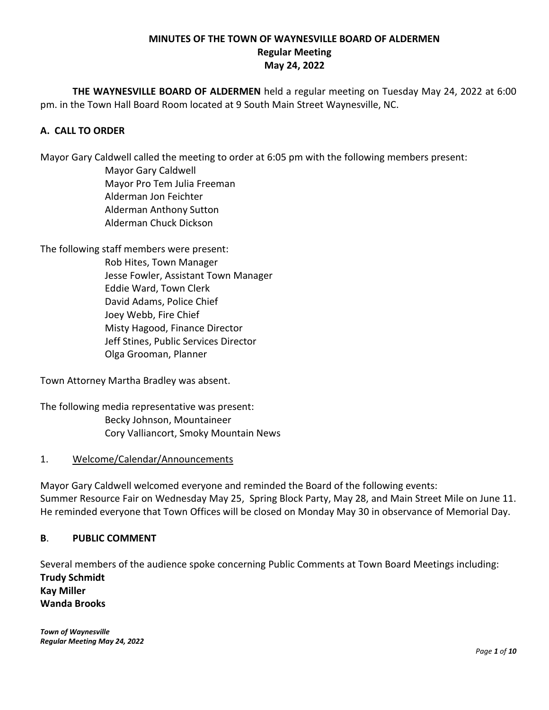## **MINUTES OF THE TOWN OF WAYNESVILLE BOARD OF ALDERMEN Regular Meeting May 24, 2022**

**THE WAYNESVILLE BOARD OF ALDERMEN** held a regular meeting on Tuesday May 24, 2022 at 6:00 pm. in the Town Hall Board Room located at 9 South Main Street Waynesville, NC.

## **A. CALL TO ORDER**

Mayor Gary Caldwell called the meeting to order at 6:05 pm with the following members present:

Mayor Gary Caldwell Mayor Pro Tem Julia Freeman Alderman Jon Feichter Alderman Anthony Sutton Alderman Chuck Dickson

The following staff members were present: Rob Hites, Town Manager Jesse Fowler, Assistant Town Manager Eddie Ward, Town Clerk David Adams, Police Chief Joey Webb, Fire Chief Misty Hagood, Finance Director Jeff Stines, Public Services Director Olga Grooman, Planner

Town Attorney Martha Bradley was absent.

The following media representative was present: Becky Johnson, Mountaineer Cory Valliancort, Smoky Mountain News

#### 1. Welcome/Calendar/Announcements

Mayor Gary Caldwell welcomed everyone and reminded the Board of the following events: Summer Resource Fair on Wednesday May 25, Spring Block Party, May 28, and Main Street Mile on June 11. He reminded everyone that Town Offices will be closed on Monday May 30 in observance of Memorial Day.

#### **B**. **PUBLIC COMMENT**

Several members of the audience spoke concerning Public Comments at Town Board Meetings including: **Trudy Schmidt Kay Miller Wanda Brooks**

*Town of Waynesville Regular Meeting May 24, 2022*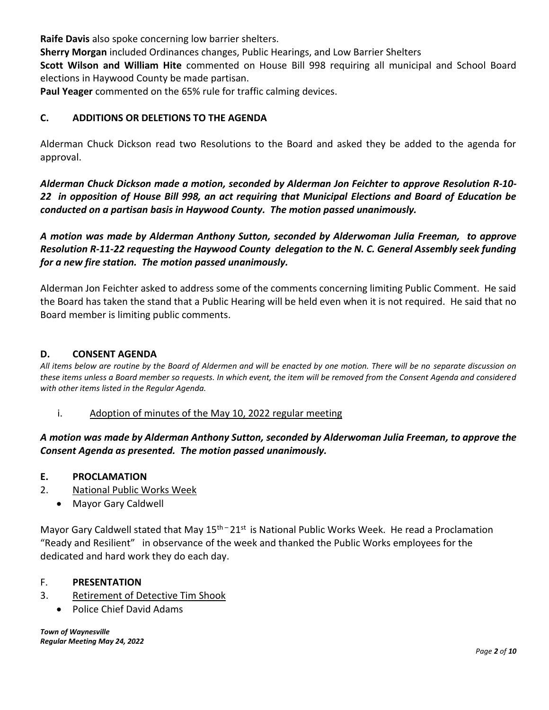**Raife Davis** also spoke concerning low barrier shelters.

**Sherry Morgan** included Ordinances changes, Public Hearings, and Low Barrier Shelters

**Scott Wilson and William Hite** commented on House Bill 998 requiring all municipal and School Board elections in Haywood County be made partisan.

**Paul Yeager** commented on the 65% rule for traffic calming devices.

## **C. ADDITIONS OR DELETIONS TO THE AGENDA**

Alderman Chuck Dickson read two Resolutions to the Board and asked they be added to the agenda for approval.

*Alderman Chuck Dickson made a motion, seconded by Alderman Jon Feichter to approve Resolution R-10- 22 in opposition of House Bill 998, an act requiring that Municipal Elections and Board of Education be conducted on a partisan basis in Haywood County. The motion passed unanimously.*

*A motion was made by Alderman Anthony Sutton, seconded by Alderwoman Julia Freeman, to approve Resolution R-11-22 requesting the Haywood County delegation to the N. C. General Assembly seek funding for a new fire station. The motion passed unanimously.*

Alderman Jon Feichter asked to address some of the comments concerning limiting Public Comment. He said the Board has taken the stand that a Public Hearing will be held even when it is not required. He said that no Board member is limiting public comments.

### **D. CONSENT AGENDA**

*All items below are routine by the Board of Aldermen and will be enacted by one motion. There will be no separate discussion on these items unless a Board member so requests. In which event, the item will be removed from the Consent Agenda and considered with other items listed in the Regular Agenda.*

#### i. Adoption of minutes of the May 10, 2022 regular meeting

*A motion was made by Alderman Anthony Sutton, seconded by Alderwoman Julia Freeman, to approve the Consent Agenda as presented. The motion passed unanimously.* 

#### **E. PROCLAMATION**

- 2. National Public Works Week
	- Mayor Gary Caldwell

Mayor Gary Caldwell stated that May 15<sup>th –</sup> 21<sup>st</sup> is National Public Works Week. He read a Proclamation "Ready and Resilient" in observance of the week and thanked the Public Works employees for the dedicated and hard work they do each day.

#### F. **PRESENTATION**

- 3. Retirement of Detective Tim Shook
	- Police Chief David Adams

*Town of Waynesville Regular Meeting May 24, 2022*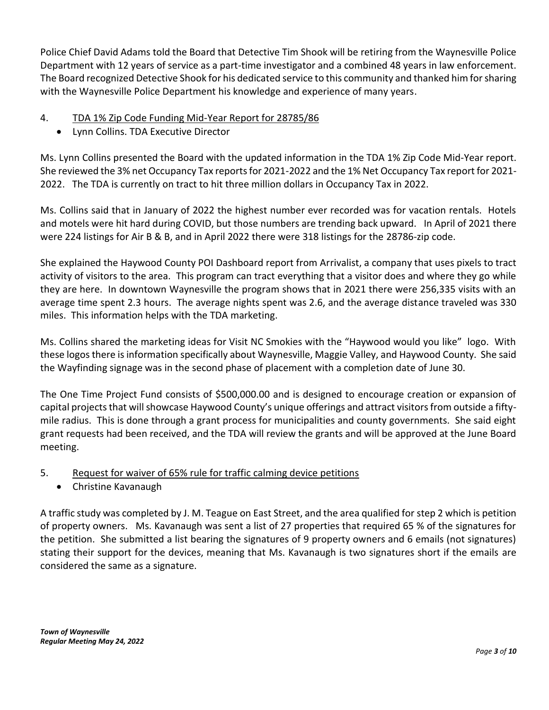Police Chief David Adams told the Board that Detective Tim Shook will be retiring from the Waynesville Police Department with 12 years of service as a part-time investigator and a combined 48 years in law enforcement. The Board recognized Detective Shook for his dedicated service to this community and thanked him for sharing with the Waynesville Police Department his knowledge and experience of many years.

# 4. TDA 1% Zip Code Funding Mid-Year Report for 28785/86

• Lynn Collins. TDA Executive Director

Ms. Lynn Collins presented the Board with the updated information in the TDA 1% Zip Code Mid-Year report. She reviewed the 3% net Occupancy Tax reports for 2021-2022 and the 1% Net Occupancy Tax report for 2021- 2022. The TDA is currently on tract to hit three million dollars in Occupancy Tax in 2022.

Ms. Collins said that in January of 2022 the highest number ever recorded was for vacation rentals. Hotels and motels were hit hard during COVID, but those numbers are trending back upward. In April of 2021 there were 224 listings for Air B & B, and in April 2022 there were 318 listings for the 28786-zip code.

She explained the Haywood County POI Dashboard report from Arrivalist, a company that uses pixels to tract activity of visitors to the area. This program can tract everything that a visitor does and where they go while they are here. In downtown Waynesville the program shows that in 2021 there were 256,335 visits with an average time spent 2.3 hours. The average nights spent was 2.6, and the average distance traveled was 330 miles. This information helps with the TDA marketing.

Ms. Collins shared the marketing ideas for Visit NC Smokies with the "Haywood would you like" logo. With these logos there is information specifically about Waynesville, Maggie Valley, and Haywood County. She said the Wayfinding signage was in the second phase of placement with a completion date of June 30.

The One Time Project Fund consists of \$500,000.00 and is designed to encourage creation or expansion of capital projects that will showcase Haywood County's unique offerings and attract visitors from outside a fiftymile radius. This is done through a grant process for municipalities and county governments. She said eight grant requests had been received, and the TDA will review the grants and will be approved at the June Board meeting.

# 5. Request for waiver of 65% rule for traffic calming device petitions

• Christine Kavanaugh

A traffic study was completed by J. M. Teague on East Street, and the area qualified for step 2 which is petition of property owners. Ms. Kavanaugh was sent a list of 27 properties that required 65 % of the signatures for the petition. She submitted a list bearing the signatures of 9 property owners and 6 emails (not signatures) stating their support for the devices, meaning that Ms. Kavanaugh is two signatures short if the emails are considered the same as a signature.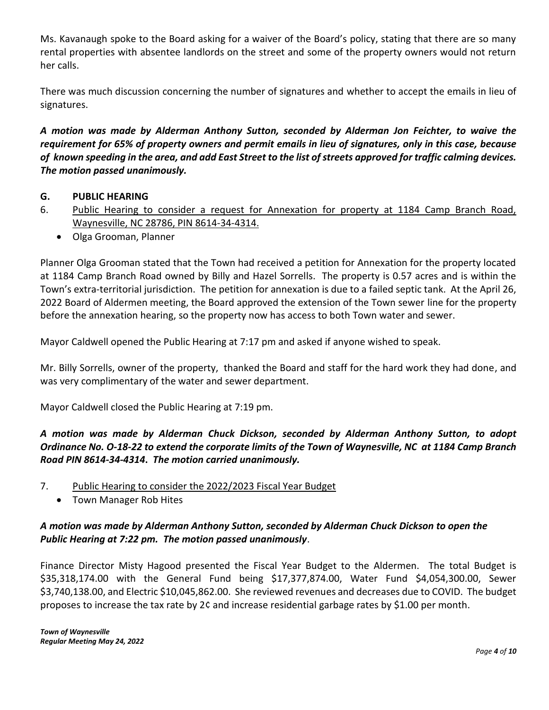Ms. Kavanaugh spoke to the Board asking for a waiver of the Board's policy, stating that there are so many rental properties with absentee landlords on the street and some of the property owners would not return her calls.

There was much discussion concerning the number of signatures and whether to accept the emails in lieu of signatures.

*A motion was made by Alderman Anthony Sutton, seconded by Alderman Jon Feichter, to waive the requirement for 65% of property owners and permit emails in lieu of signatures, only in this case, because of known speeding in the area, and add East Street to the list of streets approved for traffic calming devices. The motion passed unanimously.*

## **G. PUBLIC HEARING**

- 6. Public Hearing to consider a request for Annexation for property at 1184 Camp Branch Road, Waynesville, NC 28786, PIN 8614-34-4314.
	- Olga Grooman, Planner

Planner Olga Grooman stated that the Town had received a petition for Annexation for the property located at 1184 Camp Branch Road owned by Billy and Hazel Sorrells. The property is 0.57 acres and is within the Town's extra-territorial jurisdiction. The petition for annexation is due to a failed septic tank. At the April 26, 2022 Board of Aldermen meeting, the Board approved the extension of the Town sewer line for the property before the annexation hearing, so the property now has access to both Town water and sewer.

Mayor Caldwell opened the Public Hearing at 7:17 pm and asked if anyone wished to speak.

Mr. Billy Sorrells, owner of the property, thanked the Board and staff for the hard work they had done, and was very complimentary of the water and sewer department.

Mayor Caldwell closed the Public Hearing at 7:19 pm.

# *A motion was made by Alderman Chuck Dickson, seconded by Alderman Anthony Sutton, to adopt Ordinance No. O-18-22 to extend the corporate limits of the Town of Waynesville, NC at 1184 Camp Branch Road PIN 8614-34-4314***.** *The motion carried unanimously.*

- 7. Public Hearing to consider the 2022/2023 Fiscal Year Budget
	- Town Manager Rob Hites

## *A motion was made by Alderman Anthony Sutton, seconded by Alderman Chuck Dickson to open the Public Hearing at 7:22 pm. The motion passed unanimously*.

Finance Director Misty Hagood presented the Fiscal Year Budget to the Aldermen. The total Budget is \$35,318,174.00 with the General Fund being \$17,377,874.00, Water Fund \$4,054,300.00, Sewer \$3,740,138.00, and Electric \$10,045,862.00. She reviewed revenues and decreases due to COVID. The budget proposes to increase the tax rate by 2¢ and increase residential garbage rates by \$1.00 per month.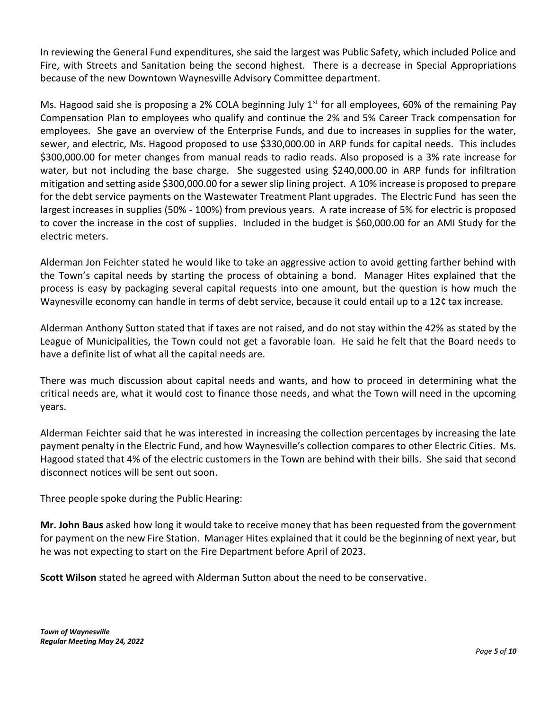In reviewing the General Fund expenditures, she said the largest was Public Safety, which included Police and Fire, with Streets and Sanitation being the second highest. There is a decrease in Special Appropriations because of the new Downtown Waynesville Advisory Committee department.

Ms. Hagood said she is proposing a 2% COLA beginning July  $1<sup>st</sup>$  for all employees, 60% of the remaining Pay Compensation Plan to employees who qualify and continue the 2% and 5% Career Track compensation for employees. She gave an overview of the Enterprise Funds, and due to increases in supplies for the water, sewer, and electric, Ms. Hagood proposed to use \$330,000.00 in ARP funds for capital needs. This includes \$300,000.00 for meter changes from manual reads to radio reads. Also proposed is a 3% rate increase for water, but not including the base charge. She suggested using \$240,000.00 in ARP funds for infiltration mitigation and setting aside \$300,000.00 for a sewer slip lining project. A 10% increase is proposed to prepare for the debt service payments on the Wastewater Treatment Plant upgrades. The Electric Fund has seen the largest increases in supplies (50% - 100%) from previous years. A rate increase of 5% for electric is proposed to cover the increase in the cost of supplies. Included in the budget is \$60,000.00 for an AMI Study for the electric meters.

Alderman Jon Feichter stated he would like to take an aggressive action to avoid getting farther behind with the Town's capital needs by starting the process of obtaining a bond. Manager Hites explained that the process is easy by packaging several capital requests into one amount, but the question is how much the Waynesville economy can handle in terms of debt service, because it could entail up to a 12¢ tax increase.

Alderman Anthony Sutton stated that if taxes are not raised, and do not stay within the 42% as stated by the League of Municipalities, the Town could not get a favorable loan. He said he felt that the Board needs to have a definite list of what all the capital needs are.

There was much discussion about capital needs and wants, and how to proceed in determining what the critical needs are, what it would cost to finance those needs, and what the Town will need in the upcoming years.

Alderman Feichter said that he was interested in increasing the collection percentages by increasing the late payment penalty in the Electric Fund, and how Waynesville's collection compares to other Electric Cities. Ms. Hagood stated that 4% of the electric customers in the Town are behind with their bills. She said that second disconnect notices will be sent out soon.

Three people spoke during the Public Hearing:

**Mr. John Baus** asked how long it would take to receive money that has been requested from the government for payment on the new Fire Station. Manager Hites explained that it could be the beginning of next year, but he was not expecting to start on the Fire Department before April of 2023.

**Scott Wilson** stated he agreed with Alderman Sutton about the need to be conservative.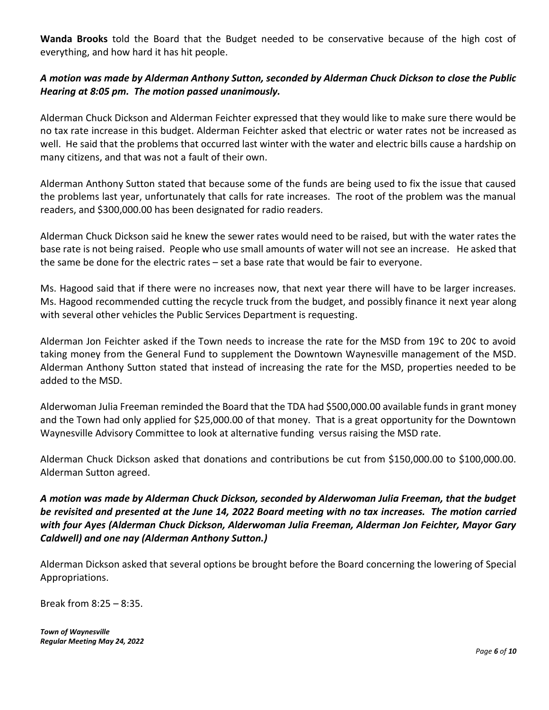**Wanda Brooks** told the Board that the Budget needed to be conservative because of the high cost of everything, and how hard it has hit people.

## *A motion was made by Alderman Anthony Sutton, seconded by Alderman Chuck Dickson to close the Public Hearing at 8:05 pm. The motion passed unanimously.*

Alderman Chuck Dickson and Alderman Feichter expressed that they would like to make sure there would be no tax rate increase in this budget. Alderman Feichter asked that electric or water rates not be increased as well. He said that the problems that occurred last winter with the water and electric bills cause a hardship on many citizens, and that was not a fault of their own.

Alderman Anthony Sutton stated that because some of the funds are being used to fix the issue that caused the problems last year, unfortunately that calls for rate increases. The root of the problem was the manual readers, and \$300,000.00 has been designated for radio readers.

Alderman Chuck Dickson said he knew the sewer rates would need to be raised, but with the water rates the base rate is not being raised. People who use small amounts of water will not see an increase. He asked that the same be done for the electric rates – set a base rate that would be fair to everyone.

Ms. Hagood said that if there were no increases now, that next year there will have to be larger increases. Ms. Hagood recommended cutting the recycle truck from the budget, and possibly finance it next year along with several other vehicles the Public Services Department is requesting.

Alderman Jon Feichter asked if the Town needs to increase the rate for the MSD from 19¢ to 20¢ to avoid taking money from the General Fund to supplement the Downtown Waynesville management of the MSD. Alderman Anthony Sutton stated that instead of increasing the rate for the MSD, properties needed to be added to the MSD.

Alderwoman Julia Freeman reminded the Board that the TDA had \$500,000.00 available funds in grant money and the Town had only applied for \$25,000.00 of that money. That is a great opportunity for the Downtown Waynesville Advisory Committee to look at alternative funding versus raising the MSD rate.

Alderman Chuck Dickson asked that donations and contributions be cut from \$150,000.00 to \$100,000.00. Alderman Sutton agreed.

*A motion was made by Alderman Chuck Dickson, seconded by Alderwoman Julia Freeman, that the budget be revisited and presented at the June 14, 2022 Board meeting with no tax increases. The motion carried with four Ayes (Alderman Chuck Dickson, Alderwoman Julia Freeman, Alderman Jon Feichter, Mayor Gary Caldwell) and one nay (Alderman Anthony Sutton.)* 

Alderman Dickson asked that several options be brought before the Board concerning the lowering of Special Appropriations.

Break from 8:25 – 8:35.

*Town of Waynesville Regular Meeting May 24, 2022*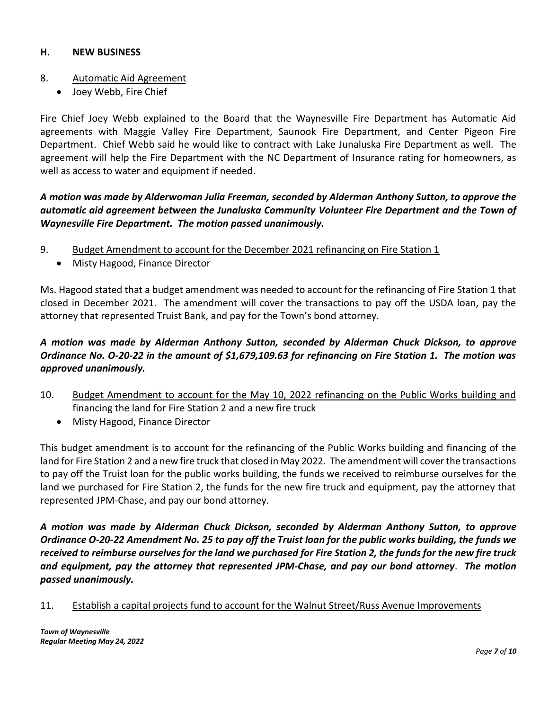## **H. NEW BUSINESS**

### 8. Automatic Aid Agreement

• Joey Webb, Fire Chief

Fire Chief Joey Webb explained to the Board that the Waynesville Fire Department has Automatic Aid agreements with Maggie Valley Fire Department, Saunook Fire Department, and Center Pigeon Fire Department. Chief Webb said he would like to contract with Lake Junaluska Fire Department as well. The agreement will help the Fire Department with the NC Department of Insurance rating for homeowners, as well as access to water and equipment if needed.

*A motion was made by Alderwoman Julia Freeman, seconded by Alderman Anthony Sutton, to approve the automatic aid agreement between the Junaluska Community Volunteer Fire Department and the Town of Waynesville Fire Department. The motion passed unanimously.*

- 9. Budget Amendment to account for the December 2021 refinancing on Fire Station 1
	- Misty Hagood, Finance Director

Ms. Hagood stated that a budget amendment was needed to account for the refinancing of Fire Station 1 that closed in December 2021. The amendment will cover the transactions to pay off the USDA loan, pay the attorney that represented Truist Bank, and pay for the Town's bond attorney.

# *A motion was made by Alderman Anthony Sutton, seconded by Alderman Chuck Dickson, to approve Ordinance No. O-20-22 in the amount of \$1,679,109.63 for refinancing on Fire Station 1. The motion was approved unanimously.*

- 10. Budget Amendment to account for the May 10, 2022 refinancing on the Public Works building and financing the land for Fire Station 2 and a new fire truck
	- Misty Hagood, Finance Director

This budget amendment is to account for the refinancing of the Public Works building and financing of the land for Fire Station 2 and a new fire truck that closed in May 2022. The amendment will cover the transactions to pay off the Truist loan for the public works building, the funds we received to reimburse ourselves for the land we purchased for Fire Station 2, the funds for the new fire truck and equipment, pay the attorney that represented JPM-Chase, and pay our bond attorney.

*A motion was made by Alderman Chuck Dickson, seconded by Alderman Anthony Sutton, to approve Ordinance O-20-22 Amendment No. 25 to pay off the Truist loan for the public works building, the funds we received to reimburse ourselves for the land we purchased for Fire Station 2, the funds for the new fire truck and equipment, pay the attorney that represented JPM-Chase, and pay our bond attorney*. *The motion passed unanimously.*

## 11. Establish a capital projects fund to account for the Walnut Street/Russ Avenue Improvements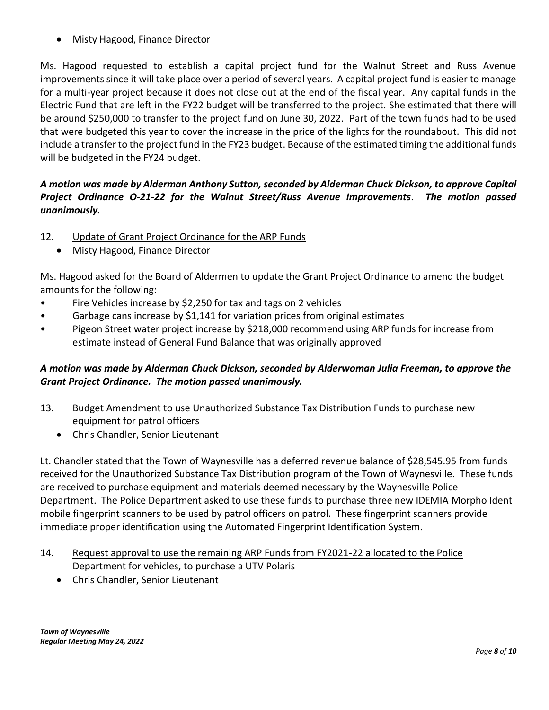• Misty Hagood, Finance Director

Ms. Hagood requested to establish a capital project fund for the Walnut Street and Russ Avenue improvements since it will take place over a period of several years. A capital project fund is easier to manage for a multi-year project because it does not close out at the end of the fiscal year. Any capital funds in the Electric Fund that are left in the FY22 budget will be transferred to the project. She estimated that there will be around \$250,000 to transfer to the project fund on June 30, 2022. Part of the town funds had to be used that were budgeted this year to cover the increase in the price of the lights for the roundabout. This did not include a transfer to the project fund in the FY23 budget. Because of the estimated timing the additional funds will be budgeted in the FY24 budget.

# *A motion was made by Alderman Anthony Sutton, seconded by Alderman Chuck Dickson, to approve Capital Project Ordinance O-21-22 for the Walnut Street/Russ Avenue Improvements*. *The motion passed unanimously.*

- 12. Update of Grant Project Ordinance for the ARP Funds
	- Misty Hagood, Finance Director

Ms. Hagood asked for the Board of Aldermen to update the Grant Project Ordinance to amend the budget amounts for the following:

- Fire Vehicles increase by \$2,250 for tax and tags on 2 vehicles
- Garbage cans increase by \$1,141 for variation prices from original estimates
- Pigeon Street water project increase by \$218,000 recommend using ARP funds for increase from estimate instead of General Fund Balance that was originally approved

# *A motion was made by Alderman Chuck Dickson, seconded by Alderwoman Julia Freeman, to approve the Grant Project Ordinance. The motion passed unanimously.*

- 13. Budget Amendment to use Unauthorized Substance Tax Distribution Funds to purchase new equipment for patrol officers
	- Chris Chandler, Senior Lieutenant

Lt. Chandler stated that the Town of Waynesville has a deferred revenue balance of \$28,545.95 from funds received for the Unauthorized Substance Tax Distribution program of the Town of Waynesville. These funds are received to purchase equipment and materials deemed necessary by the Waynesville Police Department. The Police Department asked to use these funds to purchase three new IDEMIA Morpho Ident mobile fingerprint scanners to be used by patrol officers on patrol. These fingerprint scanners provide immediate proper identification using the Automated Fingerprint Identification System.

- 14. Request approval to use the remaining ARP Funds from FY2021-22 allocated to the Police Department for vehicles, to purchase a UTV Polaris
	- Chris Chandler, Senior Lieutenant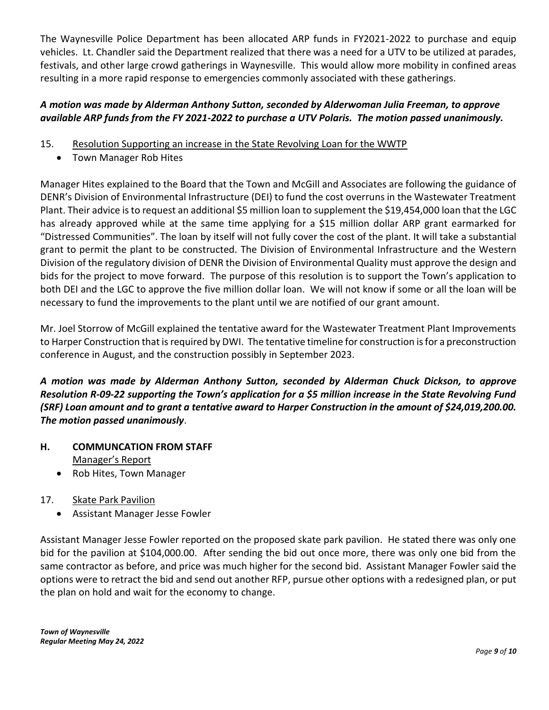The Waynesville Police Department has been allocated ARP funds in FY2021-2022 to purchase and equip vehicles. Lt. Chandler said the Department realized that there was a need for a UTV to be utilized at parades, festivals, and other large crowd gatherings in Waynesville. This would allow more mobility in confined areas resulting in a more rapid response to emergencies commonly associated with these gatherings.

# *A motion was made by Alderman Anthony Sutton, seconded by Alderwoman Julia Freeman, to approve available ARP funds from the FY 2021-2022 to purchase a UTV Polaris. The motion passed unanimously.*

- 15. Resolution Supporting an increase in the State Revolving Loan for the WWTP
	- Town Manager Rob Hites

Manager Hites explained to the Board that the Town and McGill and Associates are following the guidance of DENR's Division of Environmental Infrastructure (DEI) to fund the cost overruns in the Wastewater Treatment Plant. Their advice is to request an additional \$5 million loan to supplement the \$19,454,000 loan that the LGC has already approved while at the same time applying for a \$15 million dollar ARP grant earmarked for "Distressed Communities". The loan by itself will not fully cover the cost of the plant. It will take a substantial grant to permit the plant to be constructed. The Division of Environmental Infrastructure and the Western Division of the regulatory division of DENR the Division of Environmental Quality must approve the design and bids for the project to move forward. The purpose of this resolution is to support the Town's application to both DEI and the LGC to approve the five million dollar loan. We will not know if some or all the loan will be necessary to fund the improvements to the plant until we are notified of our grant amount.

Mr. Joel Storrow of McGill explained the tentative award for the Wastewater Treatment Plant Improvements to Harper Construction that is required by DWI. The tentative timeline for construction is for a preconstruction conference in August, and the construction possibly in September 2023.

*A motion was made by Alderman Anthony Sutton, seconded by Alderman Chuck Dickson, to approve Resolution R-09-22 supporting the Town's application for a \$5 million increase in the State Revolving Fund (SRF) Loan amount and to grant a tentative award to Harper Construction in the amount of \$24,019,200.00. The motion passed unanimously*.

- **H. COMMUNCATION FROM STAFF** Manager's Report
	- Rob Hites, Town Manager
- 17. Skate Park Pavilion
	- Assistant Manager Jesse Fowler

Assistant Manager Jesse Fowler reported on the proposed skate park pavilion. He stated there was only one bid for the pavilion at \$104,000.00. After sending the bid out once more, there was only one bid from the same contractor as before, and price was much higher for the second bid. Assistant Manager Fowler said the options were to retract the bid and send out another RFP, pursue other options with a redesigned plan, or put the plan on hold and wait for the economy to change.